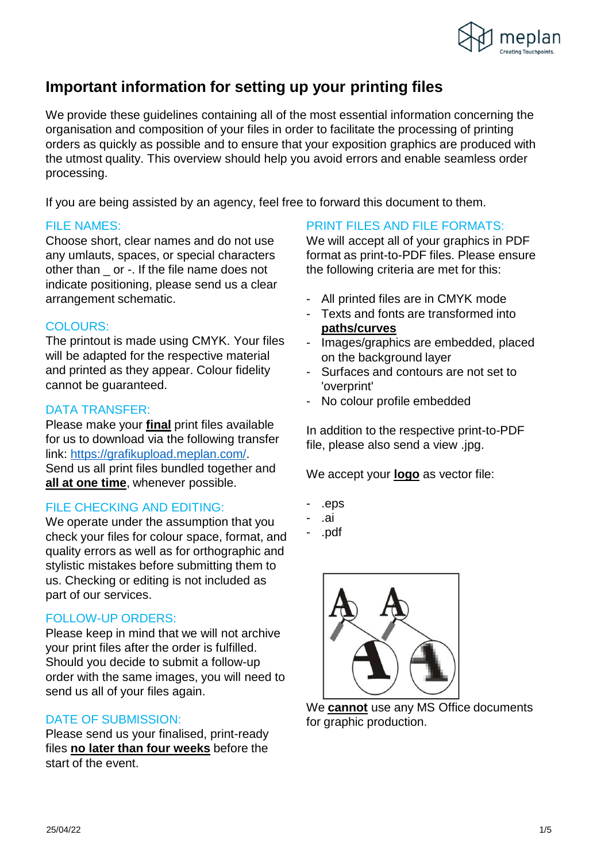

## **Important information for setting up your printing files**

We provide these guidelines containing all of the most essential information concerning the organisation and composition of your files in order to facilitate the processing of printing orders as quickly as possible and to ensure that your exposition graphics are produced with the utmost quality. This overview should help you avoid errors and enable seamless order processing.

If you are being assisted by an agency, feel free to forward this document to them.

#### FILE NAMES:

Choose short, clear names and do not use any umlauts, spaces, or special characters other than \_ or -. If the file name does not indicate positioning, please send us a clear arrangement schematic.

### COLOURS:

The printout is made using CMYK. Your files will be adapted for the respective material and printed as they appear. Colour fidelity cannot be guaranteed.

### DATA TRANSFER:

Please make your **final** print files available for us to download via the following transfer link: [https://grafikupload.meplan.com/.](https://grafikupload.meplan.com/) Send us all print files bundled together and **all at one time**, whenever possible.

### FILE CHECKING AND EDITING:

We operate under the assumption that you check your files for colour space, format, and quality errors as well as for orthographic and stylistic mistakes before submitting them to us. Checking or editing is not included as part of our services.

### FOLLOW-UP ORDERS:

Please keep in mind that we will not archive your print files after the order is fulfilled. Should you decide to submit a follow-up order with the same images, you will need to send us all of your files again.

#### DATE OF SUBMISSION:

Please send us your finalised, print-ready files **no later than four weeks** before the start of the event.

### PRINT FILES AND FILE FORMATS:

We will accept all of your graphics in PDF format as print-to-PDF files. Please ensure the following criteria are met for this:

- All printed files are in CMYK mode
- Texts and fonts are transformed into **paths/curves**
- Images/graphics are embedded, placed on the background layer
- Surfaces and contours are not set to 'overprint'
- No colour profile embedded

In addition to the respective print-to-PDF file, please also send a view .jpg.

We accept your **logo** as vector file:

- .eps
- .ai
- .pdf



We **cannot** use any MS Office documents for graphic production.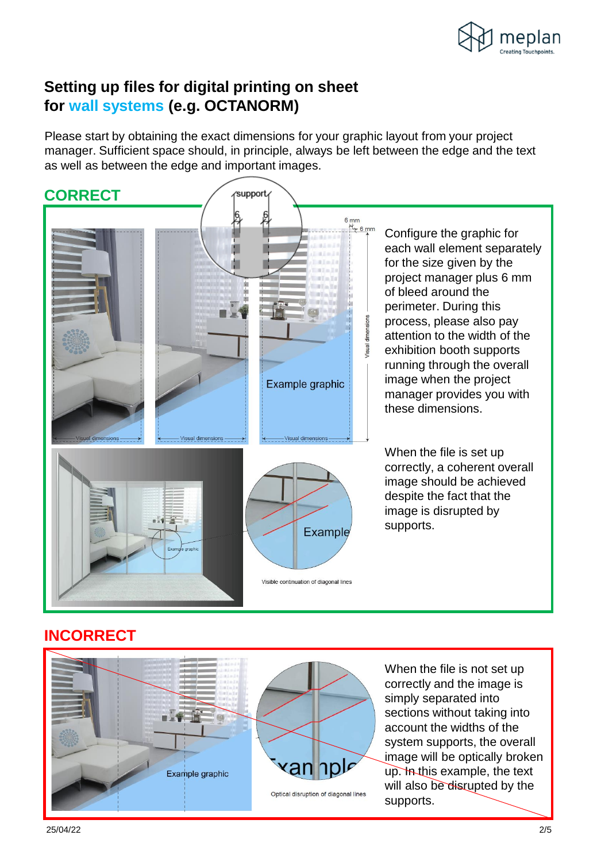

## **Setting up files for digital printing on sheet for wall systems (e.g. OCTANORM)**

Please start by obtaining the exact dimensions for your graphic layout from your project manager. Sufficient space should, in principle, always be left between the edge and the text as well as between the edge and important images.



### **INCORRECT**



When the file is not set up correctly and the image is simply separated into sections without taking into account the widths of the system supports, the overall image will be optically broken up. In this example, the text will also be disrupted by the supports.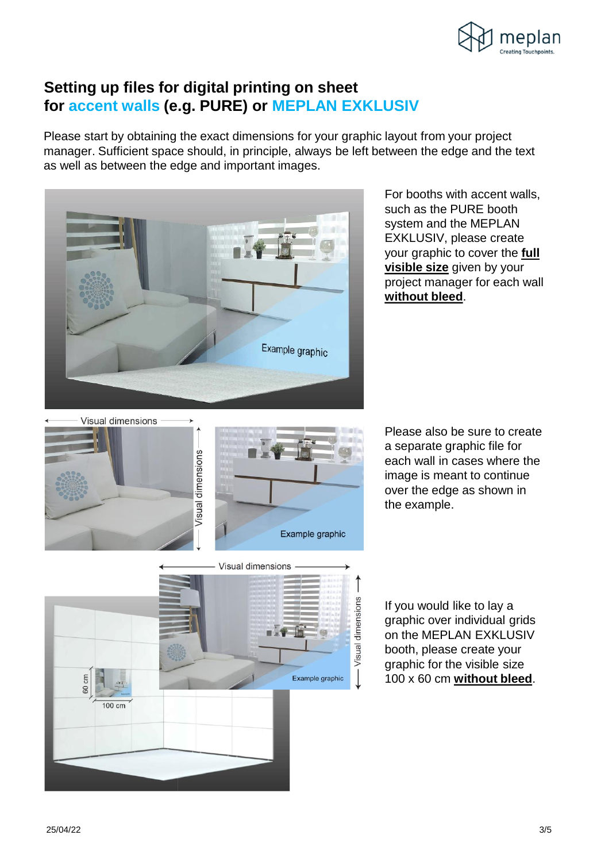

### **Setting up files for digital printing on sheet for accent walls (e.g. PURE) or MEPLAN EXKLUSIV**

Please start by obtaining the exact dimensions for your graphic layout from your project manager. Sufficient space should, in principle, always be left between the edge and the text as well as between the edge and important images.



For booths with accent walls, such as the PURE booth system and the MEPLAN EXKLUSIV, please create your graphic to cover the **full visible size** given by your project manager for each wall **without bleed**.





Please also be sure to create a separate graphic file for each wall in cases where the image is meant to continue over the edge as shown in the example.



If you would like to lay a graphic over individual grids on the MEPLAN EXKLUSIV booth, please create your graphic for the visible size 100 x 60 cm **without bleed**.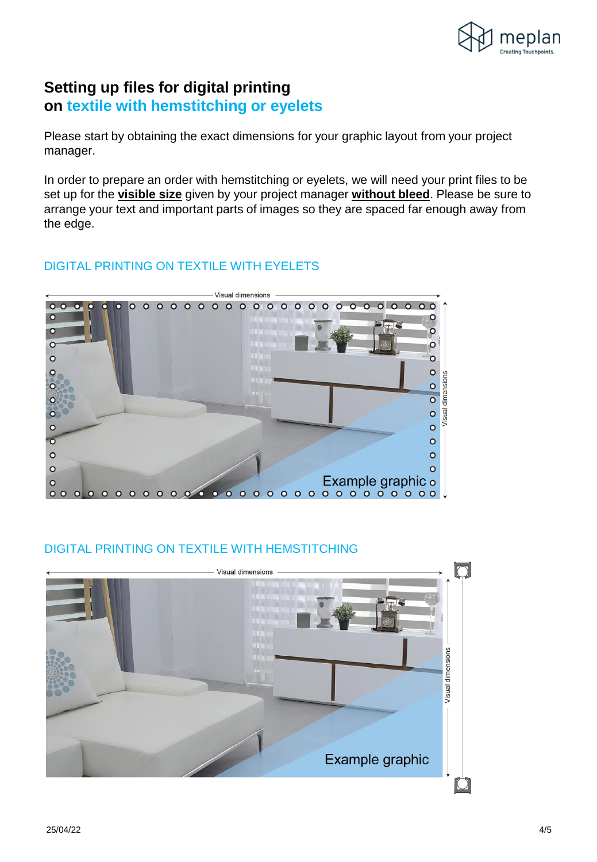

## **Setting up files for digital printing on textile with hemstitching or eyelets**

Please start by obtaining the exact dimensions for your graphic layout from your project manager.

In order to prepare an order with hemstitching or eyelets, we will need your print files to be set up for the **visible size** given by your project manager **without bleed**. Please be sure to arrange your text and important parts of images so they are spaced far enough away from the edge.

### DIGITAL PRINTING ON TEXTILE WITH EYELETS



### DIGITAL PRINTING ON TEXTILE WITH HEMSTITCHING